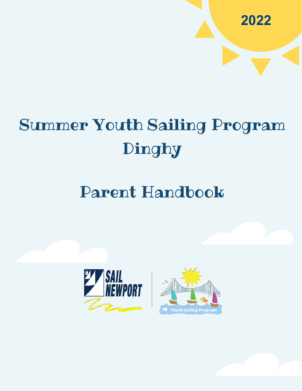# Summer Youth Sailing Program Dinghy

# Parent Handbook







**2022**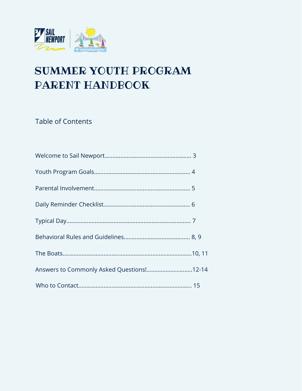

# SUMMER YOUTH PROGRAM PARENT HANDBOOK

**Table of Contents** 

| Answers to Commonly Asked Questions !12-14 |  |
|--------------------------------------------|--|
|                                            |  |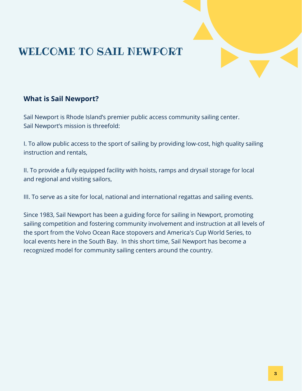### WELCOME TO SAIL NEWPORT

#### **What is Sail Newport?**

Sail Newport is Rhode Island's premier public access community sailing center. Sail Newport's mission is threefold:

I. To allow public access to the sport of sailing by providing low-cost, high quality sailing instruction and rentals,

II. To provide a fully equipped facility with hoists, ramps and drysail storage for local and regional and visiting sailors,

III. To serve as a site for local, national and international regattas and sailing events.

Since 1983, Sail Newport has been a guiding force for sailing in Newport, promoting sailing competition and fostering community involvement and instruction at all levels of the sport from the Volvo Ocean Race stopovers and America's Cup World Series, to local events here in the South Bay. In this short time, Sail Newport has become a recognized model for community sailing centers around the country.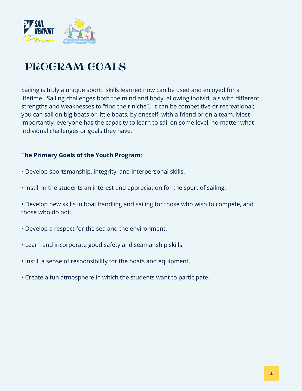

### PROGRAM GOALS

Sailing is truly a unique sport: skills learned now can be used and enjoyed for a lifetime. Sailing challenges both the mind and body, allowing individuals with different strengths and weaknesses to "find their niche". It can be competitive or recreational; you can sail on big boats or little boats, by oneself, with a friend or on a team. Most importantly, everyone has the capacity to learn to sail on some level, no matter what individual challenges or goals they have.

#### T**he Primary Goals of the Youth Program:**

- Develop sportsmanship, integrity, and interpersonal skills.
- Instill in the students an interest and appreciation for the sport of sailing.
- Develop new skills in boat handling and sailing for those who wish to compete, and those who do not.
- Develop a respect for the sea and the environment.
- Learn and incorporate good safety and seamanship skills.
- Instill a sense of responsibility for the boats and equipment.
- Create a fun atmosphere in which the students want to participate.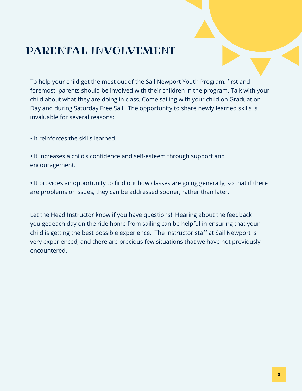### PARENTAL INVOLVEMENT

To help your child get the most out of the Sail Newport Youth Program, first and foremost, parents should be involved with their children in the program. Talk with your child about what they are doing in class. Come sailing with your child on Graduation Day and during Saturday Free Sail. The opportunity to share newly learned skills is invaluable for several reasons:

• It reinforces the skills learned.

• It increases a child's confidence and self-esteem through support and encouragement.

• It provides an opportunity to find out how classes are going generally, so that if there are problems or issues, they can be addressed sooner, rather than later.

Let the Head Instructor know if you have questions! Hearing about the feedback you get each day on the ride home from sailing can be helpful in ensuring that your child is getting the best possible experience. The instructor staff at Sail Newport is very experienced, and there are precious few situations that we have not previously encountered.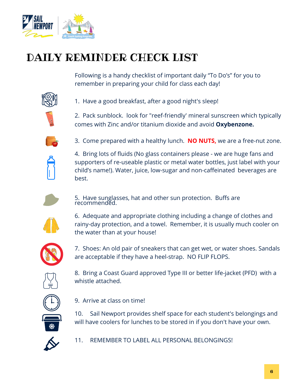

## DAILY REMINDER CHECK LIST

Following is a handy checklist of important daily "To Do's" for you to remember in preparing your child for class each day!



1. Have a good breakfast, after a good night's sleep!

2. Pack sunblock. look for "reef-friendly' mineral sunscreen which typically comes with Zinc and/or titanium dioxide and avoid **Oxybenzone.**



3. Come prepared with a healthy lunch. **NO NUTS,** we are a free-nut zone.



4. Bring lots of fluids (No glass containers please - we are huge fans and supporters of re-useable plastic or metal water bottles, just label with your child's name!). Water, juice, low-sugar and non-caffeinated beverages are best.



5. Have sunglasses, hat and other sun protection. Buffs are recommendĕd.



6. Adequate and appropriate clothing including a change of clothes and rainy-day protection, and a towel. Remember, it is usually much cooler on the water than at your house!



7. Shoes: An old pair of sneakers that can get wet, or water shoes. Sandals are acceptable if they have a heel-strap. NO FLIP FLOPS.



8. Bring a Coast Guard approved Type III or better life-jacket (PFD) with a whistle attached.



9. Arrive at class on time!

10. Sail Newport provides shelf space for each student's belongings and will have coolers for lunches to be stored in if you don't have your own.



11. REMEMBER TO LABEL ALL PERSONAL BELONGINGS!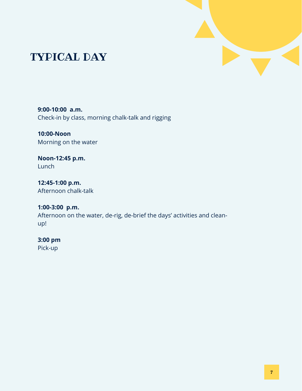

### TYPICAL DAY

**9:00-10:00 a.m.** Check-in by class, morning chalk-talk and rigging

**10:00-Noon**  Morning on the water

**Noon-12:45 p.m.** Lunch

**12:45-1:00 p.m.** Afternoon chalk-talk

**1:00-3:00 p.m.** Afternoon on the water, de-rig, de-brief the days' activities and cleanup!

**3:00 pm** Pick-up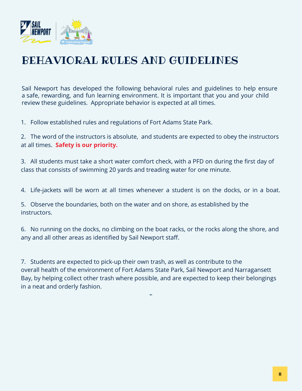

### BEHAVIORAL RULES AND GUIDELINES

Sail Newport has developed the following behavioral rules and guidelines to help ensure a safe, rewarding, and fun learning environment. It is important that you and your child review these guidelines. Appropriate behavior is expected at all times. .

1. Follow established rules and regulations of Fort Adams State Park.

2. The word of the instructors is absolute, and students are expected to obey the instructors at all times. **Safety is our priority.**

3. All students must take a short water comfort check, with a PFD on during the first day of class that consists of swimming 20 yards and treading water for one minute.

4. Life-jackets will be worn at all times whenever a student is on the docks, or in a boat.

5. Observe the boundaries, both on the water and on shore, as established by the instructors.

6. No running on the docks, no climbing on the boat racks, or the rocks along the shore, and any and all other areas as identified by Sail Newport staff.

7. Students are expected to pick-up their own trash, as well as contribute to the overall health of the environment of Fort Adams State Park, Sail Newport and Narragansett Bay, by helping collect other trash where possible, and are expected to keep their belongings in a neat and orderly fashion.

**dis**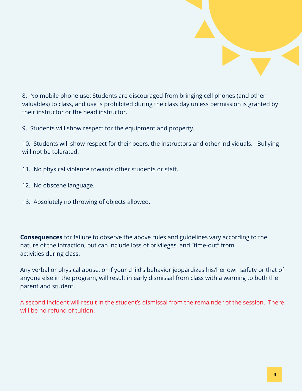

8. No mobile phone use: Students are discouraged from bringing cell phones (and other valuables) to class, and use is prohibited during the class day unless permission is granted by their instructor or the head instructor.

9. Students will show respect for the equipment and property.

10. Students will show respect for their peers, the instructors and other individuals. Bullying will not be tolerated.

- 11. No physical violence towards other students or staff.
- 12. No obscene language.
- 13. Absolutely no throwing of objects allowed.

**Consequences** for failure to observe the above rules and guidelines vary according to the nature of the infraction, but can include loss of privileges, and "time-out" from activities during class.

Any verbal or physical abuse, or if your child's behavior jeopardizes his/her own safety or that of anyone else in the program, will result in early dismissal from class with a warning to both the parent and student.

A second incident will result in the student's dismissal from the remainder of the session. There will be no refund of tuition.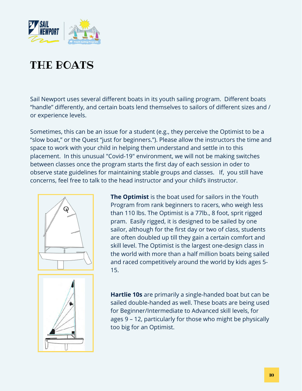

## THE BOATS

Sail Newport uses several different boats in its youth sailing program. Different boats "handle" differently, and certain boats lend themselves to sailors of different sizes and / or experience levels.

Sometimes, this can be an issue for a student (e.g., they perceive the Optimist to be a "slow boat," or the Quest "just for beginners."). Please allow the instructors the time and space to work with your child in helping them understand and settle in to this placement. In this unusual "Covid-19" environment, we will not be making switches between classes once the program starts the first day of each session in oder to observe state guidelines for maintaining stable groups and classes. If, you still have concerns, feel free to talk to the head instructor and your child's iInstructor.



**The Optimist** is the boat used for sailors in the Youth Program from rank beginners to racers, who weigh less than 110 lbs. The Optimist is a 77lb., 8 foot, sprit rigged pram. Easily rigged, it is designed to be sailed by one sailor, although for the first day or two of class, students are often doubled up till they gain a certain comfort and skill level. The Optimist is the largest one-design class in the world with more than a half million boats being sailed and raced competitively around the world by kids ages 5- 15.



**Hartlie 10s** are primarily a single-handed boat but can be sailed double-handed as well. These boats are being used for Beginner/Intermediate to Advanced skill levels, for ages 9 – 12, particularly for those who might be physically too big for an Optimist.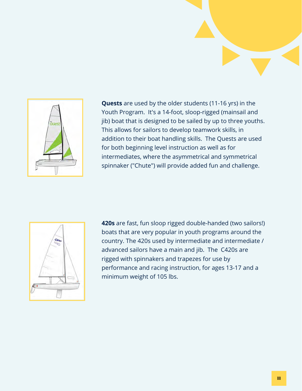

**Quests** are used by the older students (11-16 yrs) in the Youth Program. It's a 14-foot, sloop-rigged (mainsail and jib) boat that is designed to be sailed by up to three youths. This allows for sailors to develop teamwork skills, in addition to their boat handling skills. The Quests are used for both beginning level instruction as well as for intermediates, where the asymmetrical and symmetrical spinnaker ("Chute") will provide added fun and challenge.

| <b>GR30</b> |
|-------------|
|             |
| İ           |

**420s** are fast, fun sloop rigged double-handed (two sailors!) boats that are very popular in youth programs around the country. The 420s used by intermediate and intermediate / advanced sailors have a main and jib. The C420s are rigged with spinnakers and trapezes for use by performance and racing instruction, for ages 13-17 and a minimum weight of 105 lbs.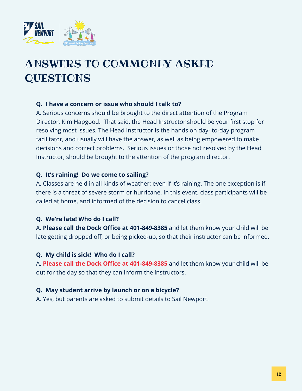

# ANSWERS TO COMMONLY ASKED **QUESTIONS**

#### **Q. I have a concern or issue who should I talk to?**

A. Serious concerns should be brought to the direct attention of the Program Director, Kim Hapgood. That said, the Head Instructor should be your first stop for resolving most issues. The Head Instructor is the hands on day- to-day program facilitator, and usually will have the answer, as well as being empowered to make decisions and correct problems. Serious issues or those not resolved by the Head Instructor, should be brought to the attention of the program director.

#### **Q. It's raining! Do we come to sailing?**

A. Classes are held in all kinds of weather: even if it's raining. The one exception is if there is a threat of severe storm or hurricane. In this event, class participants will be called at home, and informed of the decision to cancel class.

#### **Q. We're late! Who do I call?**

A. **Please call the Dock Office at 401-849-8385** and let them know your child will be late getting dropped off, or being picked-up, so that their instructor can be informed.

#### **Q. My child is sick! Who do I call?**

A. **Please call the Dock Office at 401-849-8385** and let them know your child will be out for the day so that they can inform the instructors.

#### **Q. May student arrive by launch or on a bicycle?**

A. Yes, but parents are asked to submit details to Sail Newport.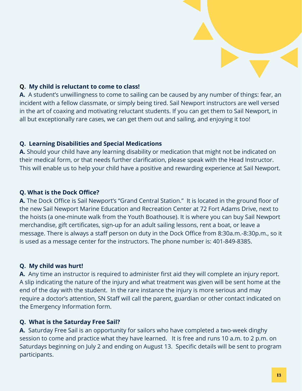#### **Q. My child is reluctant to come to class!**

**A.** A student's unwillingness to come to sailing can be caused by any number of things: fear, an incident with a fellow classmate, or simply being tired. Sail Newport instructors are well versed in the art of coaxing and motivating reluctant students. If you can get them to Sail Newport, in all but exceptionally rare cases, we can get them out and sailing, and enjoying it too!

#### **Q. Learning Disabilities and Special Medications**

**A.** Should your child have any learning disability or medication that might not be indicated on their medical form, or that needs further clarification, please speak with the Head Instructor. This will enable us to help your child have a positive and rewarding experience at Sail Newport.

#### **Q. What is the Dock Office?**

**A.** The Dock Office is Sail Newport's "Grand Central Station." It is located in the ground floor of the new Sail Newport Marine Education and Recreation Center at 72 Fort Adams Drive, next to the hoists (a one-minute walk from the Youth Boathouse). It is where you can buy Sail Newport merchandise, gift certificates, sign-up for an adult sailing lessons, rent a boat, or leave a message. There is always a staff person on duty in the Dock Office from 8:30a.m.-8:30p.m., so it is used as a message center for the instructors. The phone number is: 401-849-8385.

#### **Q. My child was hurt!**

**A.** Any time an instructor is required to administer first aid they will complete an injury report. A slip indicating the nature of the injury and what treatment was given will be sent home at the end of the day with the student. In the rare instance the injury is more serious and may require a doctor's attention, SN Staff will call the parent, guardian or other contact indicated on the Emergency Information form.

#### **Q. What is the Saturday Free Sail?**

**A.** Saturday Free Sail is an opportunity for sailors who have completed a two-week dinghy session to come and practice what they have learned. It is free and runs 10 a.m. to 2 p.m. on Saturdays beginning on July 2 and ending on August 13. Specific details will be sent to program participants.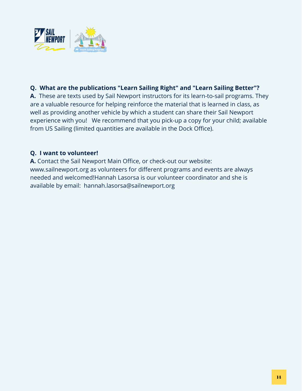

#### **Q. What are the publications "Learn Sailing Right" and "Learn Sailing Better"?**

**A.** These are texts used by Sail Newport instructors for its learn-to-sail programs. They are a valuable resource for helping reinforce the material that is learned in class, as well as providing another vehicle by which a student can share their Sail Newport experience with you! We recommend that you pick-up a copy for your child; available from US Sailing (limited quantities are available in the Dock Office).

#### **Q. I want to volunteer!**

**A.** Contact the Sail Newport Main Office, or check-out our website: www.sailnewport.org as volunteers for different programs and events are always needed and welcomed!Hannah Lasorsa is our volunteer coordinator and she is available by email: hannah.lasorsa@sailnewport.org